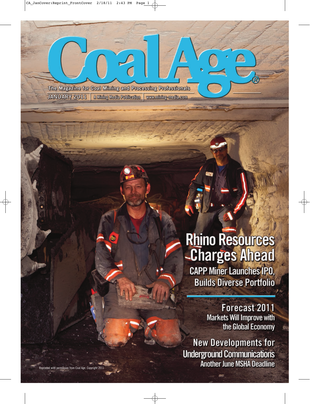The Magazine for Coal Mining and Processing Professionals **JANUARY 2011** A Mining Media Publication | www.mining-media.com

# **Rhino Resources** -Charges Ahead

**CAPP Miner Launches IPO, Builds Diverse Portfolio** 

> Forecast 2011 **Markets Will Improve with** the Global Economy

**New Developments for Underground Communications Another June MSHA Deadline**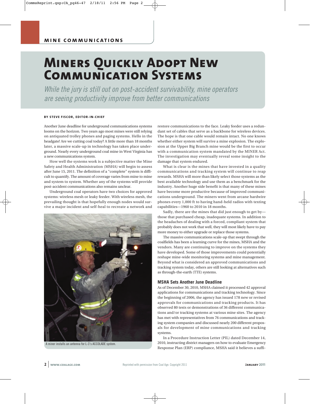## **Miners Quickly Adopt New Communication Systems**

While the jury is still out on post-accident survivability, mine operators are seeing productivity improve from better communications

#### **BY STEVE FISCOR, EDITOR-IN-CHIEF**

Another June deadline for underground communications systems looms on the horizon. Two years ago most mines were still relying on antiquated trolley phones and paging systems. Hello in the headgate! Are we cutting coal today? A little more than 18 months later, a massive scale-up in technology has taken place underground. Nearly every underground coal mine in West Virginia has a new communications system.

How well the systems work is a subjective matter the Mine Safety and Health Administration (MSHA) will begin to assess after June 15, 2011. The definition of a "complete" system is difficult to quantify. The amount of coverage varies from mine to mine and system to system. Whether any of the systems will provide post-accident communications also remains unclear.

Underground coal operators have two choices for approved systems: wireless mesh or leaky feeder. With wireless mesh, the prevailing thought is that hopefully enough nodes would survive a major incident and self-heal to recreate a network and



A miner installs an antenna for L-3's ACCOLADE system.

restore communications to the face. Leaky feeder uses a redundant set of cables that serve as a backbone for wireless devices. The hope is that one cable would remain intact. No one knows whether either system will survive a mine explosion. The explosion at the Upper Big Branch mine would be the first to occur with a communication system mandated by the MINER Act. The investigation may eventually reveal some insight to the damage that system endured.

What is clear is the mines that have invested in a quality communications and tracking system will continue to reap rewards. MSHA will more than likely select those systems as the best available technology and use them as a benchmark for the industry. Another huge side benefit is that many of these mines have become more productive because of improved communications underground. The miners went from arcane hardwire phones every 1,000 ft to having hand-held radios with texting capabilities—1960 to 2010 in 18 months.

Sadly, there are the mines that did just enough to get by those that purchased cheap, inadequate systems. In addition to the headaches of dealing with a forced, compliant system that probably does not work that well, they will most likely have to pay more money to either upgrade or replace those systems.

The massive communications scale-up that swept through the coalfields has been a learning curve for the mines, MSHA and the vendors. Many are continuing to improve on the systems they have developed. Some of those improvements could potentially reshape mine-wide monitoring systems and mine management. Beyond what is considered an approved communications and tracking system today, others are still looking at alternatives such as through-the-earth (TTE) systems.

#### **MSHA Sets Another June Deadline**

As of December 30, 2010, MSHA claimed it processed 42 approval applications for communications and tracking technology. Since the beginning of 2006, the agency has issued 178 new or revised approvals for communications and tracking products. It has observed 80 tests or demonstrations of 36 different communications and/or tracking systems at various mine sites. The agency has met with representatives from 76 communications and tracking system companies and discussed nearly 200 different proposals for development of mine communications and tracking systems.

In a Procedure Instruction Letter (PIL) dated December 14, 2010, instructing district managers on how to evaluate Emergency Response Plan (ERP) compliance, MSHA said it believes a suffi-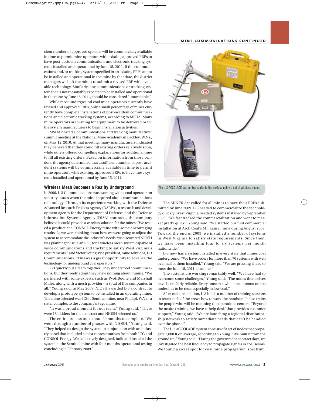cient number of approved systems will be commercially available in time to permit mine operators with existing approved ERPs to have post-accident communications and electronic tracking systems installed and operational by June 15, 2011. If the communications and/or tracking system specified in an existing ERP cannot be installed and operational in the mine by that date, the district managers will ask the mines to submit a revised ERP with available technology. Similarly, any communications or tracking system that is not reasonably expected to be installed and operational in the mine by June 15, 2011, should be considered "unavailable."

While most underground coal mine operators currently have revised and approved ERPs, only a small percentage of mines currently have complete installations of post-accident communications and electronic tracking systems, according to MSHA. Many mine operators are waiting for equipment to be delivered or for the system manufacturers to begin installation activities.

MSHA hosted a communications and tracking manufacturer summit meeting at the National Mine Academy in Beckley, W.Va., on May 12, 2010. At that meeting, many manufacturers indicated they believed that they could fill existing orders relatively soon, while others offered compelling explanations for additional time to fill all existing orders. Based on information from those vendors, the agency determined that a sufficient number of post-accident systems will be commercially available in time to permit mine operators with existing, approved ERPs to have these systems installed and operational by June 15, 2011.

#### **Wireless Mesh Becomes a Reality Underground**

In 2006, L-3 Communications was working with a coal operator on security issues when the mine inquired about communications technology. Through its experience working with the Defense Advanced Research Projects Agency (DARPA), a research and development agency for the Department of Defense, and the Defense Information Systems Agency (DISA) contracts, the company believed it could provide a wireless solution for the mines. "We tested a product at a CONSOL Energy mine with some encouraging results. As we were thinking about how we were going to adjust the system to accommodate the industry's needs, we discovered NIOSH was planning to issue an RFQ for a wireless mesh system capable of voice communications and tracking to satisfy West Virginia's requirements," said Victor Young, vice president, mine solutions, L-3 Communications. "This was a great opportunity to advance the technology for underground coal operators."

L-3 quickly put a team together. They understood communications, but they freely admit they knew nothing about mining. "We partnered with some experts, such as PyottBoone and Marshall Miller, along with a mesh provider—a total of five companies in all," Young said. In May 2007, NIOSH awarded L-3 a contract to develop a prototype system to be installed in an operating mine. The mine selected was ICG's Sentinel mine, near Phillipi, W.Va., a sister complex to the company's Sago mine.

"It was a proud moment for our team," Young said. "There were 18 bidders for that contract and NIOSH selected us."

The entire process took about 20 months to complete. "We went through a number of phases with NIOSH," Young said. "They helped us design the system in conjunction with an industry panel that included senior representatives from both ICG and CONSOL Energy. We collectively designed, built and installed the system at the Sentinel mine with four months operational testing concluding in February 2009."



The L-3 ACCOLADE system transmits to the surface using a set of wireless nodes.

The MINER Act called for all mines to have their ERPs submitted by June 2009. L-3 needed to commercialize the technology quickly. West Virginia needed systems installed by September 2009. "We fast tracked the commercialization and went to market pretty quick," Young said. "We started our first commercial installation at Arch Coal's Mt. Laurel mine during August 2009. Toward the end of 2009, we installed a number of systems in West Virginia to satisfy state requirements. Since then, we have been installing four to six systems per month nationwide."

L-3 now has a system installed in every state that mines coal underground. "We have orders for more than 70 systems with well over half of them installed," Young said. "We are pressing ahead to meet the June 15, 2011, deadline."

The systems are working remarkably well. "We have had to overcome some challenges," Young said. "The nodes themselves have been fairly reliable. Every once in a while the antenna on the nodes has to be reset especially in low coal."

After each installation, L-3 holds a number of training sessions to teach each of the crews how to work the handsets. It also trains the people who will be manning the operations centers. "Beyond the onsite training, we have a 'help desk' that provides customer support," Young said. "We are launching a regional distributorship network to satisfy immediate needs that can't be handled over the phone."

The L-3 ACCOLADE system consists of a set of nodes that propagate 2,000 ft on average, according to Young. "We built it from the ground up," Young said. "During the government contract days, we investigated the best frequency to propagate signals in coal seams. We found a sweet spot for coal mine propagation spectrum.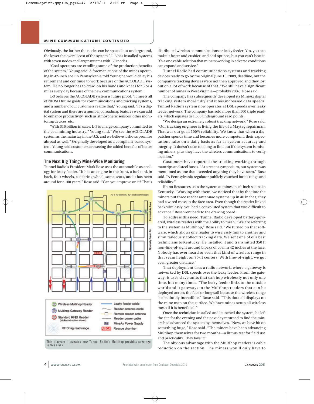Obviously, the farther the nodes can be spaced out underground, the lower the overall cost of the system." L-3 has installed systems with seven nodes and larger systems with 170 nodes.

"Coal operators are extolling some of the production benefits of the system," Young said. A foreman at one of the mines operating in 42-inch coal in Pennsylvania told Young he would delay his retirement and continue to work because of the ACCOLADE system. He no longer has to crawl on his hands and knees for 3 or 4 miles every day because of the new communications system.

L-3 believes the ACCOLADE system is future proof. "It meets all of NIOSH future goals for communications and tracking systems, and a number of our customers realize that," Young said. "It's a digital system and there are a number of roadmap features we can add to enhance productivity, such as atmospheric sensors, other monitoring devices, etc.

"With \$16 billion in sales, L-3 is a large company committed to the coal mining industry," Young said. "We see the ACCOLADE system as the mainstay in the U.S. and we believe it shows promise abroad as well." Originally developed as a compliant-based system, Young said customers are seeing the added benefits of better communications.

#### **The Next Big Thing: Mine-Wide Monitoring**

Tunnel Radio's President Mark Rose uses the automobile as analogy for leaky feeder. "It has an engine in the front, a fuel tank in back, four wheels, a steering wheel, some seats, and it has been around for a 100 years," Rose said. "Can you improve on it? That's



This diagram illustrates how Tunnel Radio's Multihop provides coverage in face areas.

distributed wireless communications or leaky feeder. Yes, you can make it faster and cushier, and add options, but you can't beat it. It's a one cable solution that miners working in adverse conditions can expand and service."

Tunnel Radio had communications systems and tracking devices ready to go by the original June 15, 2009, deadline, but the company's tracking devices were not then approved and they lost out on a lot of work because of that. "We still have a significant number of mines in West Virginia—probably 20%," Rose said.

The company has subsequently developed its MineAx digital tracking system more fully and it has increased data speeds. Tunnel Radio's system now operates at DSL speeds over leaky feeder network. The company has sold more than 500 triple readers, which equates to 1,500 underground read points.

"We design an extremely robust tracking network," Rose said. "Our tracking engineer is living the life of a Maytag repairman. That was our goal: 100% reliability. We know that when a dispatcher spends time and becomes more competent, their expectations raise on a daily basis as far as system accuracy and integrity. It doesn't take too long to find out if the system is missing miners, plus they have the wireless communications to verify location."

Customers have reported the tracking working through mantrips and steel buses. "At a recent symposium, our system was mentioned as one that exceeded anything they have seen," Rose said. "A Pennsylvania regulator publicly vouched for its range and reliability."

Rhino Resources uses the system at mines in 40-inch seams in Kentucky. "Working with them, we noticed that by the time the miners put three reader antennae systems up in 40 inches, they had a wired mess in the face area. Even though the reader linked back wirelessly, you had a convoluted system that was difficult to advance." Rose went back to the drawing board.

To address this need, Tunnel Radio developed battery-powered, wireless readers with the ability to mesh. "We are referring to the system as Multihop," Rose said. "We turned on that software, which allows one reader to wirelessly link to another and simultaneously collect tracking data. We sent one of our best technicians to Kentucky. He installed it and transmitted 350 ft non-line-of-sight around blocks of coal in 42 inches at the face. Nobody has ever heard or seen that kind of wireless range in that seam height on 70-ft centers. With line-of-sight, we got even greater distance."

That deployment uses a radio network, where a gateway is networked by DSL speeds over the leaky feeder. From the gateway, it uses slave units that can hop wirelessly not only one time, but many times. "The leaky feeder links to the outside world and it gateways to the Multihop readers that can be deployed across the face or longwall because the wireless range is absolutely incredible," Rose said. "This data all displays on the mine map on the surface. We have mines setup all wireless mesh if it is beneficial."

Once the technician installed and launched the system, he left the site for the evening and the next day returned to find the miners had advanced the system by themselves. "Now, we have hit on something huge," Rose said. "The miners have been advancing Multihop themselves for two months—a litmus test for field use and practicality. They love it!"

The obvious advantage with the Multihop readers is cable reduction on the section. The miners would only have to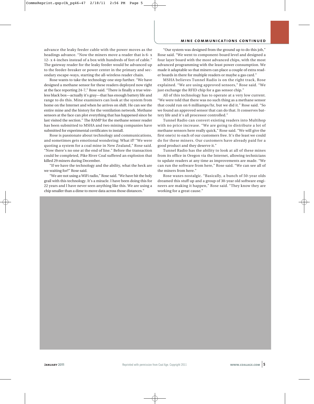#### **mine communications continued**

advance the leaky feeder cable with the power moves as the headings advance. "Now the miners move a reader that is 6- x 12- x 4-inches instead of a box with hundreds of feet of cable." The gateway reader for the leaky feeder would be advanced up to the feeder-breaker or power center in the primary and secondary escape-ways, starting the all-wireless reader chain.

Rose wants to take the technology one step further. "We have designed a methane sensor for these readers deployed now right at the face reporting 24-7," Rose said. "There is finally a true wireless black box—actually it's gray—that has enough battery life and range to do this. Mine examiners can look at the system from home on the Internet and when he arrives on shift. He can see the entire mine and the history for the ventilation network. Methane sensors at the face can plot everything that has happened since he last visited the section." The RAMP for the methane sensor reader has been submitted to MSHA and two mining companies have submitted for experimental certificates to install.

Rose is passionate about technology and communications, and sometimes gets emotional wondering: What if? "We were quoting a system for a coal mine in New Zealand," Rose said. "Now there's no one at the end of line." Before the transaction could be completed, Pike River Coal suffered an explosion that killed 29 miners during December.

"If we have the technology and the ability, what the heck are we waiting for?" Rose said.

"We are not using a WiFi radio," Rose said. "We have hit the holy grail with this technology. It's a miracle. I have been doing this for 22 years and I have never seen anything like this. We are using a chip smaller than a dime to move data across those distances."

"Our system was designed from the ground up to do this job," Rose said. "We went to component-board level and designed a four layer board with the most advanced chips, with the most advanced programming with the least power consumption. We made it adaptable so that miners can place a couple of extra reader boards in there for multiple readers or maybe a gas card."

MSHA believes Tunnel Radio is on the right track, Rose explained. "We are using approved sensors," Rose said. "We just exchange the RFID chip for a gas sensor chip."

All of this technology has to operate at a very low current. "We were told that there was no such thing as a methane sensor that could run on 6 milliamps/hr, but we did it." Rose said. "So we found an approved sensor that can do that. It conserves battery life and it's all processor controlled."

Tunnel Radio can convert existing readers into Multihop with no price increase. "We are going to distribute a lot of methane sensors here really quick," Rose said. "We will give the first one(s) to each of our customers free. It's the least we could do for these miners. Our customers have already paid for a good product and they deserve it."

Tunnel Radio has the ability to look at all of these mines from its office in Oregon via the Internet, allowing technicians to update readers at any time as improvements are made. "We can run the software from here," Rose said. "We can see all of the miners from here."

Rose waxes nostalgic. "Basically, a bunch of 50-year olds dreamed this stuff up and a group of 30-year old software engineers are making it happen," Rose said. "They know they are working for a great cause."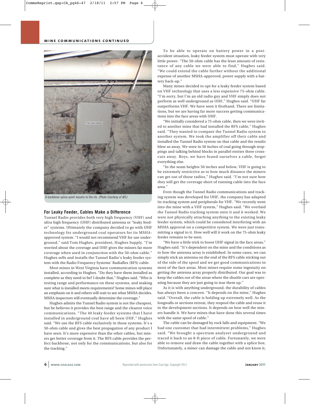

A backbone splice point mounts to the rib. (Photo Courtesy of AFL)

#### **For Leaky Feeder, Cables Make a Difference**

Tunnel Radio provides both very high frequency (VHF) and ultra high frequency (UHF) distributed antenna or "leaky feeder" systems. Ultimately the company decided to go with UHF technology for underground coal operators for its MSHAapproved system. "I would not recommend VHF for use underground," said Tom Hughes, president, Hughes Supply. "I'm worried about the coverage and UHF gives the miners far more coverage when used in conjunction with the 50-ohm cable." Hughes sells and installs the Tunnel Radio's leaky feeder system with the Radio Frequency Systems' Radiaflex (RFS) cable.

Most mines in West Virginia have communication systems installed, according to Hughes. "Do they have them installed as complete as they need to be? I doubt that," Hughes said. "Who is testing range and performance on these systems, and making sure what is installed meets requirements? Some mines will place an emphasis on it and others will wait to see what MSHA decides. MSHA inspectors will eventually determine the coverage."

Hughes admits the Tunnel Radio system is not the cheapest, but he believes it provides the best range and the clearest voice communications. "The 40 leaky feeder systems that I have installed in underground coal have all been UHF," Hughes said. "We use the RFS cable exclusively in those systems. It's a 50-ohm cable and gives the best propagation of any product I have seen. It's more expensive than the other cables, but miners get better coverage from it. The RFS cable provides the perfect backbone, not only for the communications, but also for the tracking."

To be able to operate on battery power in a postaccident situation, leaky feeder system must operate with very little power. "The 50-ohm cable has the least amount of resistance of any cable we were able to find," Hughes said. "We could extend the cable further without the additional expense of another MSHA-approved, power supply with a battery back-up."

Many mines decided to opt for a leaky feeder system based on VHF technology that uses a less expensive 75-ohm cable. "I'm sorry, but I'm an old radio guy and VHF simply does not perform as well underground as UHF," Hughes said. "UHF far outperforms VHF. We have seen it firsthand. There are limitations, but we are having far more success getting communications into the face areas with UHF.

"We initially considered a 75-ohm cable, then we were invited to another mine that had installed the RFS cable," Hughes said. "They wanted to compare the Tunnel Radio system to another system. We took the amplifier off their cable and installed the Tunnel Radio system on that cable and the results blew us away. We were in 50 inches of coal going through stoppings and talking behind blocks in parallel entries three crosscuts away. Boys, we have found ourselves a cable, forget everything else.

"In the seam heights 50 inches and below, VHF is going to be extremely restrictive as to how much distance the miners can get out of those radios," Hughes said. "I'm not sure how they will get the coverage short of running cable into the face area."

Even though the Tunnel Radio communications and tracking system was developed for UHF, the company has adapted its tracking system and peripherals for VHF. "We recently went into the mine with a VHF system," Hughes said. "We overlaid the Tunnel Radio tracking system onto it and it worked. We were not physically attaching anything to the existing leaky feeder system, which could be considered interfering with an MSHA approval on a competitive system. We were just transmitting a signal to it. How well will it work on the 75-ohm leaky feeder remains to be seen.

"We have a little trick to boost UHF signal in the face areas," Hughes said. "It's dependent on the mine and the conditions as to how the antenna array is established. In some cases, we can simply stick an antenna on the end of the RFS cable sticking out of the side of the spool and we get good communications in most of the face areas. Most mines require some ingenuity on getting the antenna array properly distributed. Our goal was to keep the cables out of the areas where the shuttle cars are operating because they are just going to tear them up."

As it is with anything underground, the durability of cables has always been a concern. "It depends on the mine," Hughes said. "Overall, the cable is holding up extremely well. As the longwalls or sections retreat, they respool the cable and reuse it in the development sections. It depends on how well the miners handle it. We have mines that have done this several times with the same spool of cable."

The cable can be damaged by rock falls and equipment. "We had one customer that had intermittent problems," Hughes said. "We brought a spectrum analyzer underground and traced it back to an 8-ft piece of cable. Fortunately, we were able to remove and draw the cable together with a splice box. Unfortunately, a miner can damage the cable and not know it,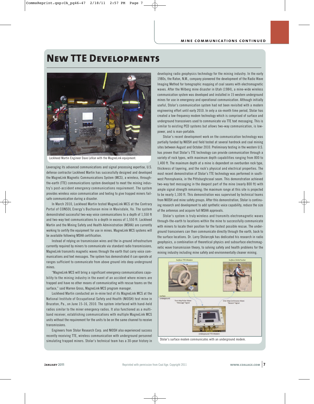### **New TTE Developments**



Lockheed Martin Engineer Dave LeVan with the MagneLink equipment.

Leveraging its advanced communications and signal processing expertise, U.S. defense contractor Lockheed Martin has successfully designed and developed the MagneLink Magnetic Communications System (MCS), a wireless, throughthe-earth (TTE) communications system developed to meet the mining industry's post-accident emergency communications requirement. The system provides wireless voice communication and texting to give trapped miners failsafe communication during a disaster.

In March 2010, Lockheed Martin tested MagneLink MCS at the Contrary Portal of CONSOL Energy's Buchanan mine in Mavisdale, Va. The system demonstrated successful two-way voice communications to a depth of 1,550 ft and two-way text communications to a depth in excess of 1,550 ft. Lockheed Martin and the Mining Safety and Health Administration (MSHA) are currently working to certify the equipment for use in mines. MagneLink MCS systems will be available following MSHA certification.

Instead of relying on transmission wires and the in-ground infrastructure currently required by miners to communicate via standard radio transmissions, MagneLink transmits magnetic waves through the earth that carry voice communications and text messages. The system has demonstrated it can operate at ranges sufficient to communicate from above ground into deep underground mines.

"MagneLink MCS will bring a significant emergency communications capability to the mining industry in the event of an accident where miners are trapped and have no other means of communicating with rescue teams on the surface," said Warren Gross, MagneLink MCS program manager.

Lockheed Martin conducted an in-mine test of its MagneLink MCS at the National Institute of Occupational Safety and Health (NIOSH) test mine in Bruceton, Pa., on June 15-16, 2010. The system interfaced with hand-held radios similar to the miner emergency radios. It also functioned as a multiband receiver, establishing communications with multiple MagneLink MCS units without the requirement for the units to be on the same channel to receive transmissions.

Engineers from Stolar Research Corp. and NIOSH also experienced success recently receiving TTE, wireless communication with underground personnel simulating trapped miners. Stolar's technical team has a 30-year history in developing radio geophysics technology for the mining industry. In the early 1980s, the Raton, N.M., company pioneered the development of the Radio Wave Imaging Method for tomographic mapping of coal seams with electromagnetic waves. After the Wilberg mine disaster in Utah (1984), a mine-wide wireless communication system was developed and installed in 15 western underground mines for use in emergency and operational communication. Although initially useful, Stolar's communication system had not been revisited with a modern engineering effort until early 2010. In only a six-month time period, Stolar has created a low-frequency modem technology which is comprised of surface and underground transceivers used to communicate via TTE text messaging. This is similar to existing PED systems but allows two-way communication, is lowpower, and is man-portable.

Stolar's recent development work on the communication technology was partially funded by NIOSH and field tested at several hardrock and coal mining sites between August and October 2010. Preliminary testing in the western U.S. has proven that Stolar's TTE technology can provide communication through a variety of rock types, with maximum depth capabilities ranging from 800 to 1,400 ft. The maximum depth at a mine is dependent on overburden rock type, thickness of layering, and the rock's physical and electrical properties. The most recent demonstration of Stolar's TTE technology was performed in southwest Pennsylvania, in the Pittsburghcsoal seam. This demonstration achieved two-way text messaging in the deepest part of the mine (nearly 800 ft) with ample signal strength remaining; the maximum range at this site is projected to be nearly 1,100 ft. This demonstration was supervised by technical teams from NIOSH and mine safety groups. After this demonstration, Stolar is continuing research and development to add synthetic voice capability, reduce the size of the antennas and acquire full MSHA approvals.

Stolar's system is truly wireless and transmits electromagnetic waves through-the-earth to locations within the mine to successfully communicate with miners to locate their position for the fastest possible rescue. The underground transceivers can then communicate directly through the earth, back to the surface locations. Dr. Larry Stolarczyk has dedicated his research in radio geophysics, a combination of theoretical physics and subsurface electromagnetic wave transmission theory, to solving safety and health problems for the mining industry including mine safety and environmentally cleaner mining.



Stolar's surface modem communicates with an underground modem.